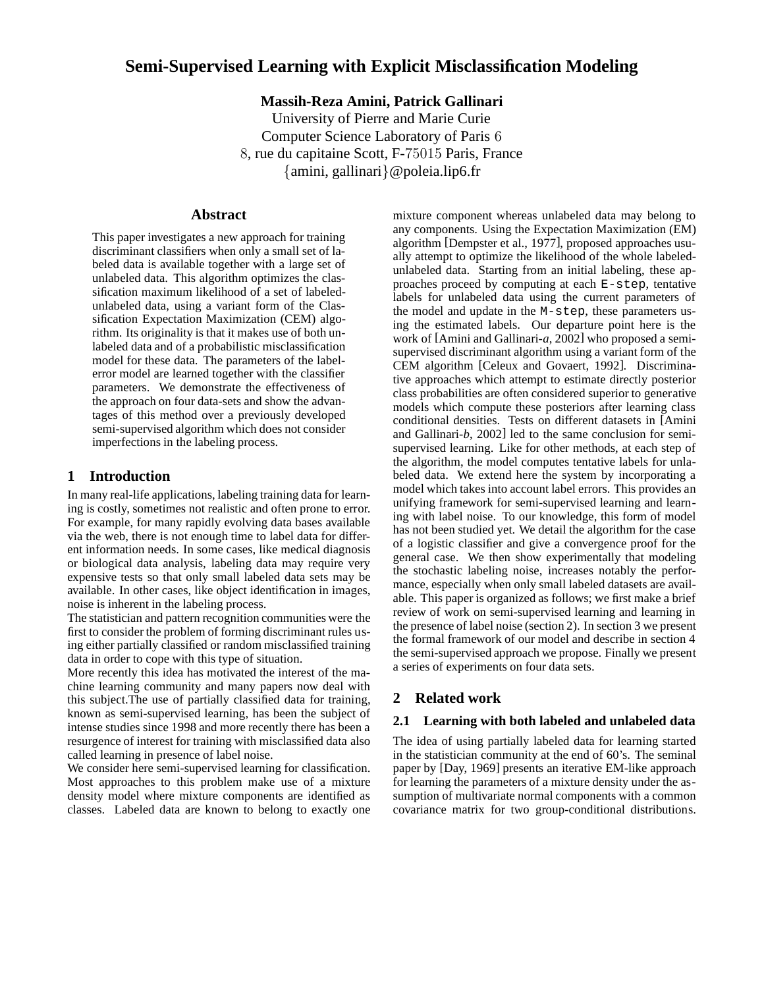# **Semi-Supervised Learning with Explicit Misclassification Modeling**

**Massih-Reza Amini, Patrick Gallinari**

University of Pierre and Marie Curie Computer Science Laboratory of Paris 6 8, rue du capitaine Scott, F-75015 Paris, France {amini, gallinari}@poleia.lip6.fr

### **Abstract**

This paper investigates a new approach for training discriminant classifiers when only a small set of labeled data is available together with a large set of unlabeled data. This algorithm optimizes the classification maximum likelihood of a set of labeledunlabeled data, using a variant form of the Classification Expectation Maximization (CEM) algorithm. Its originality is that it makes use of both unlabeled data and of a probabilistic misclassification model for these data. The parameters of the labelerror model are learned together with the classifier parameters. We demonstrate the effectiveness of the approach on four data-sets and show the advantages of this method over a previously developed semi-supervised algorithm which does not consider imperfections in the labeling process.

#### **1 Introduction**

In many real-life applications, labeling training data for learning is costly, sometimes not realistic and often prone to error. For example, for many rapidly evolving data bases available via the web, there is not enough time to label data for different information needs. In some cases, like medical diagnosis or biological data analysis, labeling data may require very expensive tests so that only small labeled data sets may be available. In other cases, like object identification in images, noise is inherent in the labeling process.

The statistician and pattern recognition communities were the first to consider the problem of forming discriminant rules using either partially classified or random misclassified training data in order to cope with this type of situation.

More recently this idea has motivated the interest of the machine learning community and many papers now deal with this subject.The use of partially classified data for training, known as semi-supervised learning, has been the subject of intense studies since 1998 and more recently there has been a resurgence of interest for training with misclassified data also called learning in presence of label noise.

We consider here semi-supervised learning for classification. Most approaches to this problem make use of a mixture density model where mixture components are identified as classes. Labeled data are known to belong to exactly one mixture component whereas unlabeled data may belong to any components. Using the Expectation Maximization (EM) algorithm [Dempster et al., 1977], proposed approaches usually attempt to optimize the likelihood of the whole labeledunlabeled data. Starting from an initial labeling, these approaches proceed by computing at each E-step, tentative labels for unlabeled data using the current parameters of the model and update in the M-step, these parameters using the estimated labels. Our departure point here is the work of [Amini and Gallinari-*a*, 2002] who proposed a semisupervised discriminant algorithm using a variant form of the CEM algorithm [Celeux and Govaert, 1992]. Discriminative approaches which attempt to estimate directly posterior class probabilities are often considered superior to generative models which compute these posteriors after learning class conditional densities. Tests on different datasets in [Amini and Gallinari-*b*, 2002] led to the same conclusion for semisupervised learning. Like for other methods, at each step of the algorithm, the model computes tentative labels for unlabeled data. We extend here the system by incorporating a model which takes into account label errors. This provides an unifying framework for semi-supervised learning and learning with label noise. To our knowledge, this form of model has not been studied yet. We detail the algorithm for the case of a logistic classifier and give a convergence proof for the general case. We then show experimentally that modeling the stochastic labeling noise, increases notably the performance, especially when only small labeled datasets are available. This paper is organized as follows; we first make a brief review of work on semi-supervised learning and learning in the presence of label noise (section 2). In section 3 we present the formal framework of our model and describe in section 4 the semi-supervised approach we propose. Finally we present a series of experiments on four data sets.

## **2 Related work**

## **2.1 Learning with both labeled and unlabeled data**

The idea of using partially labeled data for learning started in the statistician community at the end of 60's. The seminal paper by [Day, 1969] presents an iterative EM-like approach for learning the parameters of a mixture density under the assumption of multivariate normal components with a common covariance matrix for two group-conditional distributions.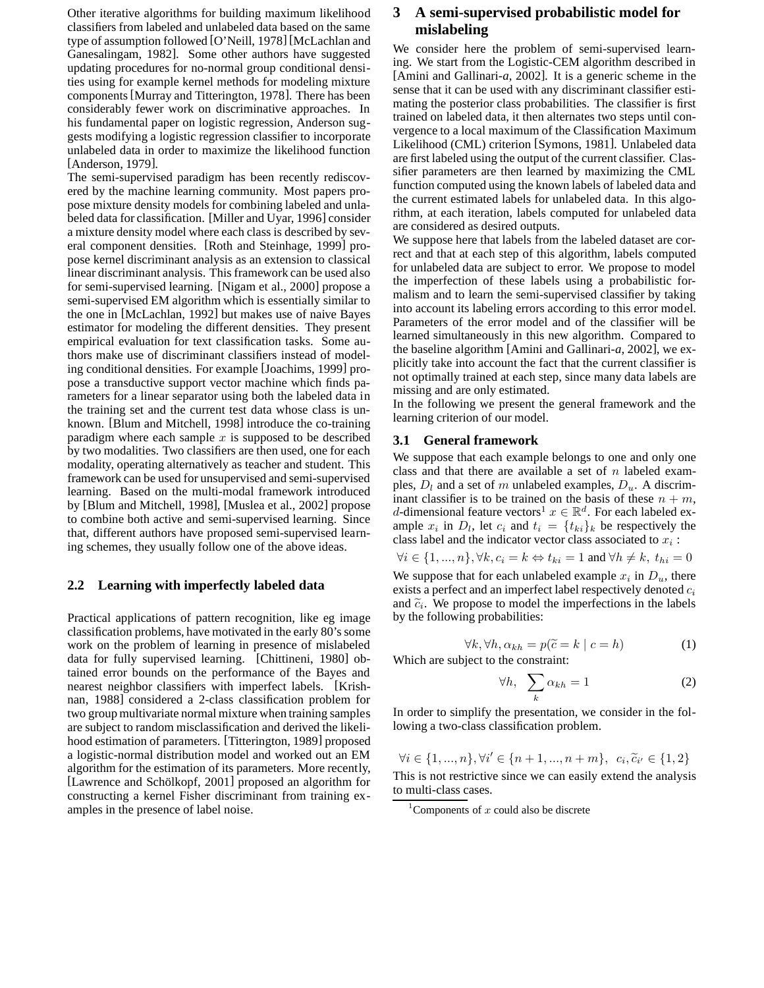Other iterative algorithms for building maximum likelihood classifiers from labeled and unlabeled data based on the same type of assumption followed [O'Neill, 1978] [McLachlan and Ganesalingam, 1982]. Some other authors have suggested updating procedures for no-normal group conditional densities using for example kernel methods for modeling mixture components[Murray and Titterington, 1978]. There has been considerably fewer work on discriminative approaches. In his fundamental paper on logistic regression, Anderson suggests modifying a logistic regression classifier to incorporate unlabeled data in order to maximize the likelihood function [Anderson, 1979].

The semi-supervised paradigm has been recently rediscovered by the machine learning community. Most papers propose mixture density models for combining labeled and unlabeled data for classification. [Miller and Uyar, 1996] consider a mixture density model where each class is described by several component densities. [Roth and Steinhage, 1999] propose kernel discriminant analysis as an extension to classical linear discriminant analysis. This framework can be used also for semi-supervised learning. [Nigam et al., 2000] propose a semi-supervised EM algorithm which is essentially similar to the one in [McLachlan, 1992] but makes use of naive Bayes estimator for modeling the different densities. They present empirical evaluation for text classification tasks. Some authors make use of discriminant classifiers instead of modeling conditional densities. For example [Joachims, 1999] propose a transductive support vector machine which finds parameters for a linear separator using both the labeled data in the training set and the current test data whose class is unknown. [Blum and Mitchell, 1998] introduce the co-training paradigm where each sample  $x$  is supposed to be described by two modalities. Two classifiers are then used, one for each modality, operating alternatively as teacher and student. This framework can be used for unsupervised and semi-supervised learning. Based on the multi-modal framework introduced by [Blum and Mitchell, 1998], [Muslea et al., 2002] propose to combine both active and semi-supervised learning. Since that, different authors have proposed semi-supervised learning schemes, they usually follow one of the above ideas.

#### **2.2 Learning with imperfectly labeled data**

Practical applications of pattern recognition, like eg image classification problems, have motivated in the early 80's some work on the problem of learning in presence of mislabeled data for fully supervised learning. [Chittineni, 1980] obtained error bounds on the performance of the Bayes and nearest neighbor classifiers with imperfect labels. [Krishnan, 1988] considered a 2-class classification problem for two group multivariate normal mixture when training samples are subject to random misclassification and derived the likelihood estimation of parameters. [Titterington, 1989] proposed a logistic-normal distribution model and worked out an EM algorithm for the estimation of its parameters. More recently, [Lawrence and Schölkopf, 2001] proposed an algorithm for constructing a kernel Fisher discriminant from training examples in the presence of label noise.

## **3 A semi-supervised probabilistic model for mislabeling**

We consider here the problem of semi-supervised learning. We start from the Logistic-CEM algorithm described in [Amini and Gallinari-*a*, 2002]. It is a generic scheme in the sense that it can be used with any discriminant classifier estimating the posterior class probabilities. The classifier is first trained on labeled data, it then alternates two steps until convergence to a local maximum of the Classification Maximum Likelihood (CML) criterion [Symons, 1981]. Unlabeled data are first labeled using the output of the current classifier. Classifier parameters are then learned by maximizing the CML function computed using the known labels of labeled data and the current estimated labels for unlabeled data. In this algorithm, at each iteration, labels computed for unlabeled data are considered as desired outputs.

We suppose here that labels from the labeled dataset are correct and that at each step of this algorithm, labels computed for unlabeled data are subject to error. We propose to model the imperfection of these labels using a probabilistic formalism and to learn the semi-supervised classifier by taking into account its labeling errors according to this error model. Parameters of the error model and of the classifier will be learned simultaneously in this new algorithm. Compared to the baseline algorithm [Amini and Gallinari-*a*, 2002], we explicitly take into account the fact that the current classifier is not optimally trained at each step, since many data labels are missing and are only estimated.

In the following we present the general framework and the learning criterion of our model.

#### **3.1 General framework**

We suppose that each example belongs to one and only one class and that there are available a set of  $n$  labeled examples,  $D_l$  and a set of m unlabeled examples,  $D_u$ . A discriminant classifier is to be trained on the basis of these  $n + m$ , d-dimensional feature vectors<sup>1</sup>  $x \in \mathbb{R}^d$ . For each labeled example  $x_i$  in  $D_l$ , let  $c_i$  and  $t_i = \{t_{ki}\}_k$  be respectively the class label and the indicator vector class associated to  $x_i$ :

$$
\forall i \in \{1, ..., n\}, \forall k, c_i = k \Leftrightarrow t_{ki} = 1
$$
 and  $\forall h \neq k, t_{hi} = 0$ . We suppose that for each unlabeled example  $x_i$  in  $D_u$ , there exists a perfect and an imperfect label respectively denoted  $c_i$  and  $\tilde{c}_i$ . We propose to model the imperfections in the labels by the following probabilities:

$$
\forall k, \forall h, \alpha_{kh} = p(\tilde{c} = k \mid c = h)
$$
 (1)  
Which are subject to the constraint:

$$
\forall h, \quad \sum_{k} \alpha_{kh} = 1 \tag{2}
$$

In order to simplify the presentation, we consider in the following a two-class classification problem.

 $\forall i \in \{1, ..., n\}, \forall i' \in \{n+1, ..., n+m\}, \ c_i, \tilde{c}_{i'} \in \{1, 2\}$ This is not restrictive since we can easily extend the analysis to multi-class cases.

<sup>&</sup>lt;sup>1</sup>Components of  $x$  could also be discrete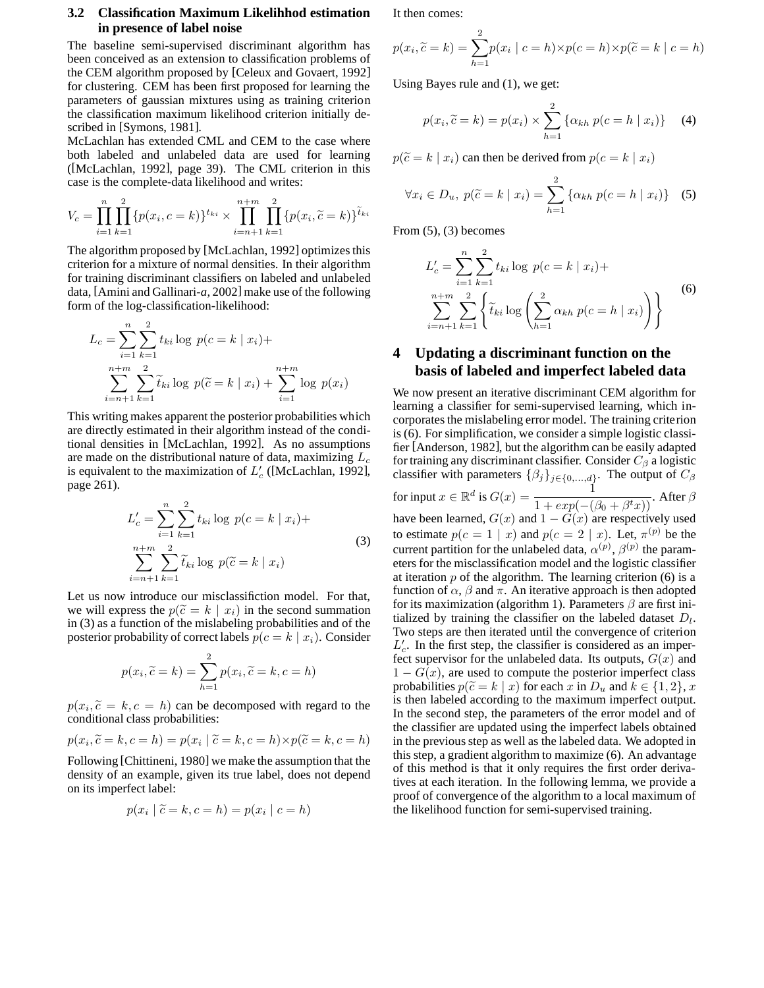### **3.2 Classification Maximum Likelihhod estimation in presence of label noise**

The baseline semi-supervised discriminant algorithm has been conceived as an extension to classification problems of the CEM algorithm proposed by [Celeux and Govaert, 1992] for clustering. CEM has been first proposed for learning the parameters of gaussian mixtures using as training criterion the classification maximum likelihood criterion initially described in [Symons, 1981].

McLachlan has extended CML and CEM to the case where both labeled and unlabeled data are used for learning ([McLachlan, 1992], page 39). The CML criterion in this case is the complete-data likelihood and writes:

$$
V_c = \prod_{i=1}^n \prod_{k=1}^2 \{p(x_i, c = k)\}^{t_{ki}} \times \prod_{i=n+1}^{n+m} \prod_{k=1}^2 \{p(x_i, \tilde{c} = k)\}^{\tilde{t}_{ki}}
$$

The algorithm proposed by [McLachlan, 1992] optimizes this criterion for a mixture of normal densities. In their algorithm for training discriminant classifiers on labeled and unlabeled data, [Amini and Gallinari-*a*, 2002] make use of the following form of the log-classification-likelihood:

$$
L_c = \sum_{i=1}^{n} \sum_{k=1}^{2} t_{ki} \log p(c = k | x_i) +
$$
  

$$
\sum_{i=n+1}^{n+m} \sum_{k=1}^{2} \tilde{t}_{ki} \log p(\tilde{c} = k | x_i) + \sum_{i=1}^{n+m} \log p(x_i)
$$

This writing makes apparent the posterior probabilities which are directly estimated in their algorithm instead of the conditional densities in [McLachlan, 1992]. As no assumptions are made on the distributional nature of data, maximizing  $L_c$ is equivalent to the maximization of  $L'_{c}$  ([McLachlan, 1992], page 261).

$$
L'_{c} = \sum_{i=1}^{n} \sum_{k=1}^{2} t_{ki} \log p(c = k | x_{i}) +
$$
  

$$
\sum_{i=n+1}^{n+m} \sum_{k=1}^{2} \widetilde{t}_{ki} \log p(\widetilde{c} = k | x_{i})
$$
 (3)

Let us now introduce our misclassifiction model. For that, we will express the  $p(\tilde{c} = k \mid x_i)$  in the second summation in (3) as a function of the mislabeling probabilities and of the posterior probability of correct labels  $p(c = k | x_i)$ . Consider

$$
p(x_i, \widetilde{c} = k) = \sum_{h=1}^{2} p(x_i, \widetilde{c} = k, c = h)
$$

 $p(x_i, \tilde{c} = k, c = h)$  can be decomposed with regard to the conditional class probabilities:

$$
p(x_i, \widetilde{c} = k, c = h) = p(x_i | \widetilde{c} = k, c = h) \times p(\widetilde{c} = k, c = h)
$$

Following [Chittineni, 1980] we make the assumption that the density of an example, given its true label, does not depend on its imperfect label:

$$
p(x_i \mid \widetilde{c} = k, c = h) = p(x_i \mid c = h)
$$

It then comes:

$$
p(x_i, \tilde{c} = k) = \sum_{h=1}^{2} p(x_i \mid c = h) \times p(c = h) \times p(\tilde{c} = k \mid c = h)
$$

Using Bayes rule and (1), we get:

$$
p(x_i, \tilde{c} = k) = p(x_i) \times \sum_{h=1}^{2} \{ \alpha_{kh} \ p(c = h \mid x_i) \} \tag{4}
$$

 $p(\tilde{c} = k | x_i)$  can then be derived from  $p(c = k | x_i)$ 

$$
\forall x_i \in D_u, \ p(\tilde{c} = k \mid x_i) = \sum_{h=1}^{2} \{ \alpha_{kh} \ p(c = h \mid x_i) \} \quad (5)
$$

From  $(5)$ ,  $(3)$  becomes

$$
L'_{c} = \sum_{i=1}^{n} \sum_{k=1}^{2} t_{ki} \log p(c = k | x_{i}) +
$$
  

$$
\sum_{i=n+1}^{n+m} \sum_{k=1}^{2} \left\{ \tilde{t}_{ki} \log \left( \sum_{h=1}^{2} \alpha_{kh} p(c = h | x_{i}) \right) \right\}
$$
 (6)

# **4 Updating a discriminant function on the basis of labeled and imperfect labeled data**

We now present an iterative discriminant CEM algorithm for learning a classifier for semi-supervised learning, which incorporates the mislabeling error model. The training criterion is (6). For simplification, we consider a simple logistic classifier [Anderson, 1982], but the algorithm can be easily adapted for training any discriminant classifier. Consider  $C_\beta$  a logistic classifier with parameters  $\{\beta_j\}_{j\in\{0,\ldots,d\}}$ . The output of  $C_\beta$ for input  $x \in \mathbb{R}^d$  is  $G(x) = \frac{1}{1 + exp(-(\beta_0 + \beta^t x))}$ . After  $\beta$ have been learned,  $G(x)$  and  $1 - \tilde{G}(x)$  are respectively used to estimate  $p(c = 1 | x)$  and  $p(c = 2 | x)$ . Let,  $\pi^{(p)}$  be the current partition for the unlabeled data,  $\alpha^{(p)}$ ,  $\beta^{(p)}$  the parameters for the misclassification model and the logistic classifier at iteration  $p$  of the algorithm. The learning criterion (6) is a function of  $\alpha$ ,  $\beta$  and  $\pi$ . An iterative approach is then adopted for its maximization (algorithm 1). Parameters  $\beta$  are first initialized by training the classifier on the labeled dataset  $D_l$ . Two steps are then iterated until the convergence of criterion  $L'_{c}$ . In the first step, the classifier is considered as an imperfect supervisor for the unlabeled data. Its outputs,  $G(x)$  and  $1 - G(x)$ , are used to compute the posterior imperfect class probabilities  $p(\tilde{c} = k | x)$  for each x in  $D_u$  and  $k \in \{1,2\}, x$ is then labeled according to the maximum imperfect output. In the second step, the parameters of the error model and of the classifier are updated using the imperfect labels obtained in the previous step as well as the labeled data. We adopted in this step, a gradient algorithm to maximize (6). An advantage of this method is that it only requires the first order derivatives at each iteration. In the following lemma, we provide a proof of convergence of the algorithm to a local maximum of the likelihood function for semi-supervised training.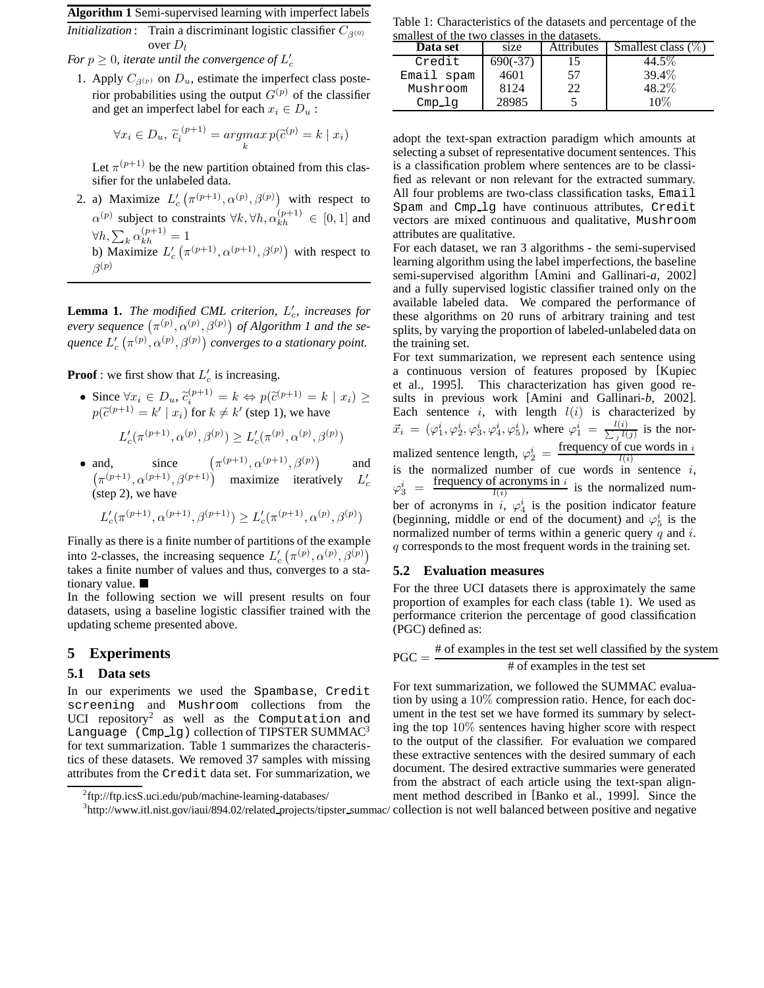**Algorithm 1** Semi-supervised learning with imperfect labels

*Initialization* : Train a discriminant logistic classifier  $C_{\beta(0)}$ over  $D_l$ 

For  $p \geq 0$ , iterate until the convergence of  $L'_c$ 

1. Apply  $C_{\beta(p)}$  on  $D_u$ , estimate the imperfect class posterior probabilities using the output  $G^{(p)}$  of the classifier and get an imperfect label for each  $x_i \in D_u$ :

$$
\forall x_i \in D_u, \ \widetilde{c}_i^{\ (p+1)} = \underset{k}{argmax} \ p(\widetilde{c}^{(p)} = k \mid x_i)
$$

Let  $\pi^{(p+1)}$  be the new partition obtained from this classifier for the unlabeled data.

2. a) Maximize  $L'_{c}(\pi^{(p+1)}, \alpha^{(p)}, \beta^{(p)})$  with respect to  $\alpha^{(p)}$  subject to constraints  $\forall k, \forall h, \alpha_{kh}^{(p+1)} \in [0, 1]$  and  $\forall h, \sum_k \alpha_{kh}^{(p+1)} = 1$ b) Maximize  $L'_{c}(\pi^{(p+1)}, \alpha^{(p+1)}, \beta^{(p)})$  with respect to  $\beta^{(p)}$ 

**Lemma 1.** The modified CML criterion,  $L'_{c}$ , increases for *every sequence*  $(\pi^{(p)}, \alpha^{(p)}, \beta^{(p)})$  *of Algorithm 1 and the se*quence  $L'_c\left(\pi^{(p)},\alpha^{(p)},\beta^{(p)}\right)$  converges to a stationary point.

**Proof**: we first show that  $L'_c$  is increasing.

- Since  $\forall x_i \in D_u$ ,  $\tilde{c}_i^{(p+1)} = k \Leftrightarrow p(\tilde{c}^{(p+1)} = k \mid x_i) \ge$  $p(\tilde{c}^{(p+1)} = k' \mid x_i)$  for  $k \neq k'$  (step 1), we have  $L'_{c}(\pi^{(p+1)}, \alpha^{(p)}, \beta^{(p)}) \ge L'_{c}(\pi^{(p)}, \alpha^{(p)}, \beta^{(p)})$
- and, since  $(\pi^{(p+1)}, \alpha^{(p+1)}, \beta^{(p)})$  and  $(\pi^{(p+1)}, \alpha^{(p+1)}, \beta^{(p+1)})$  maximize iteratively  $L'_c$ (step 2), we have

$$
L'_c(\pi^{(p+1)},\alpha^{(p+1)},\beta^{(p+1)})\geq L'_c(\pi^{(p+1)},\alpha^{(p)},\beta^{(p)})
$$

Finally as there is a finite number of partitions of the example into 2-classes, the increasing sequence  $L'_{c}(\pi^{(p)}, \alpha^{(p)}, \beta^{(p)})$ takes a finite number of values and thus, converges to a stationary value.

In the following section we will present results on four datasets, using a baseline logistic classifier trained with the updating scheme presented above.

## **5 Experiments**

#### **5.1 Data sets**

In our experiments we used the Spambase, Credit screening and Mushroom collections from the UCI repository<sup>2</sup> as well as the Computation and Language  $(Cmp_1)$  collection of TIPSTER SUMMAC<sup>3</sup> for text summarization. Table 1 summarizes the characteristics of these datasets. We removed 37 samples with missing attributes from the Credit data set. For summarization, we Table 1: Characteristics of the datasets and percentage of the smallest of the two classes in the datasets.

| Data set   | size       | Attributes | Smallest class $(\%)$ |
|------------|------------|------------|-----------------------|
| Credit     | $690(-37)$ | 15         | 44.5%                 |
| Email spam | 4601       | 57         | 39.4%                 |
| Mushroom   | 8124       | 22         | 48.2%                 |
| $Cmp_l$    | 28985      |            | 10%                   |

adopt the text-span extraction paradigm which amounts at selecting a subset of representative document sentences. This is a classification problem where sentences are to be classified as relevant or non relevant for the extracted summary. All four problems are two-class classification tasks, Email Spam and Cmp lg have continuous attributes, Credit vectors are mixed continuous and qualitative, Mushroom attributes are qualitative.

For each dataset, we ran 3 algorithms - the semi-supervised learning algorithm using the label imperfections, the baseline semi-supervised algorithm [Amini and Gallinari-*a*, 2002] and a fully supervised logistic classifier trained only on the available labeled data. We compared the performance of these algorithms on 20 runs of arbitrary training and test splits, by varying the proportion of labeled-unlabeled data on the training set.

For text summarization, we represent each sentence using a continuous version of features proposed by [Kupiec et al., 1995]. This characterization has given good results in previous work [Amini and Gallinari-*b*, 2002]. Each sentence i, with length  $l(i)$  is characterized by  $\vec{x}_i = (\varphi_1^i, \varphi_2^i, \varphi_3^i, \varphi_4^i, \varphi_5^i)$ , where  $\varphi_1^i = \frac{l(i)}{\sum_l l(l)}$  $\frac{i(i)}{i(l(j))}$  is the normalized sentence length,  $\varphi_2^i = \frac{\text{frequency of cue words in } i}{l(i)}$ is the normalized number of cue words in sentence i,  $\varphi_3^i$  = frequency of acronyms in  $i$  $\frac{d}{l(i)}$  is the normalized number of acronyms in i,  $\varphi_4^i$  is the position indicator feature (beginning, middle or end of the document) and  $\varphi_5^i$  is the normalized number of terms within a generic query  $q$  and  $i$ . q corresponds to the most frequent words in the training set.

#### **5.2 Evaluation measures**

For the three UCI datasets there is approximately the same proportion of examples for each class (table 1). We used as performance criterion the percentage of good classification (PGC) defined as:

$$
PGC = \frac{\text{\# of examples in the test set well classified by the system}}{\text{\# of examples in the test set}}
$$

For text summarization, we followed the SUMMAC evaluation by using a 10% compression ratio. Hence, for each document in the test set we have formed its summary by selecting the top 10% sentences having higher score with respect to the output of the classifier. For evaluation we compared these extractive sentences with the desired summary of each document. The desired extractive summaries were generated from the abstract of each article using the text-span alignment method described in [Banko et al., 1999]. Since the

<sup>3</sup>http://www.itl.nist.gov/iaui/894.02/related\_projects/tipster\_summac/ collection is not well balanced between positive and negative

<sup>&</sup>lt;sup>2</sup>ftp://ftp.icsS.uci.edu/pub/machine-learning-databases/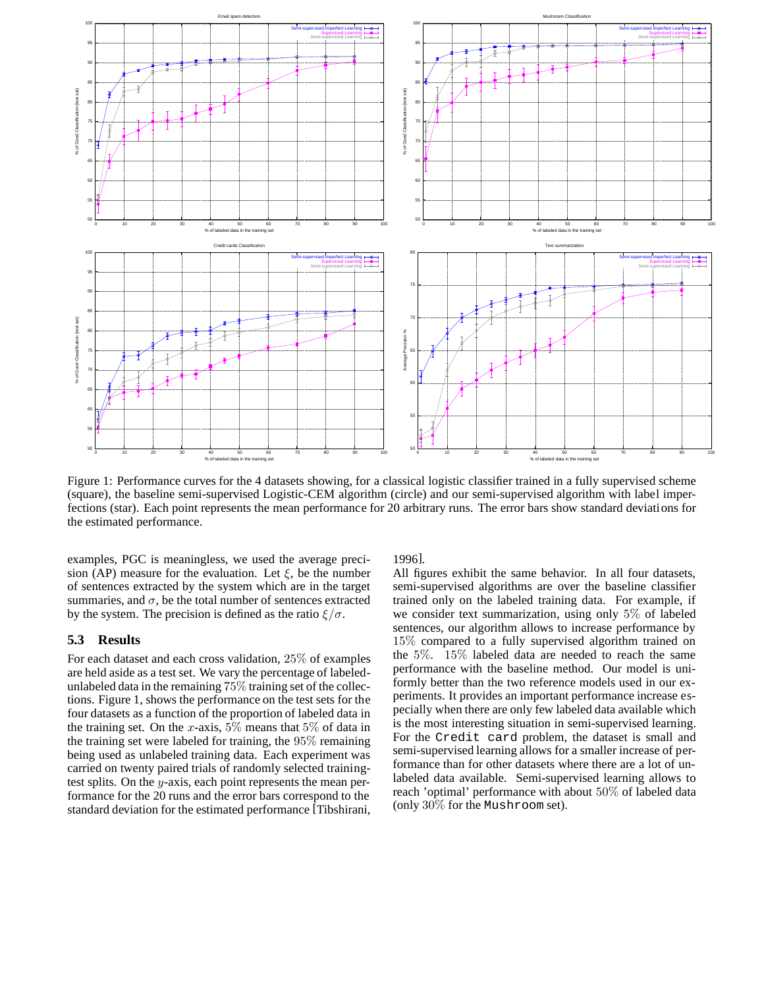

Figure 1: Performance curves for the 4 datasets showing, for a classical logistic classifier trained in a fully supervised scheme (square), the baseline semi-supervised Logistic-CEM algorithm (circle) and our semi-supervised algorithm with label imperfections (star). Each point represents the mean performance for 20 arbitrary runs. The error bars show standard deviations for the estimated performance.

examples, PGC is meaningless, we used the average precision (AP) measure for the evaluation. Let  $\xi$ , be the number of sentences extracted by the system which are in the target summaries, and  $\sigma$ , be the total number of sentences extracted by the system. The precision is defined as the ratio  $\xi/\sigma$ .

### **5.3 Results**

For each dataset and each cross validation, 25% of examples are held aside as a test set. We vary the percentage of labeledunlabeled data in the remaining 75% training set of the collections. Figure 1, shows the performance on the test sets for the four datasets as a function of the proportion of labeled data in the training set. On the x-axis,  $5\%$  means that  $5\%$  of data in the training set were labeled for training, the 95% remaining being used as unlabeled training data. Each experiment was carried on twenty paired trials of randomly selected trainingtest splits. On the y-axis, each point represents the mean performance for the 20 runs and the error bars correspond to the standard deviation for the estimated performance [Tibshirani, 1996].

All figures exhibit the same behavior. In all four datasets, semi-supervised algorithms are over the baseline classifier trained only on the labeled training data. For example, if we consider text summarization, using only 5% of labeled sentences, our algorithm allows to increase performance by 15% compared to a fully supervised algorithm trained on the 5%. 15% labeled data are needed to reach the same performance with the baseline method. Our model is uniformly better than the two reference models used in our experiments. It provides an important performance increase especially when there are only few labeled data available which is the most interesting situation in semi-supervised learning. For the Credit card problem, the dataset is small and semi-supervised learning allows for a smaller increase of performance than for other datasets where there are a lot of unlabeled data available. Semi-supervised learning allows to reach 'optimal' performance with about 50% of labeled data (only 30% for the Mushroom set).